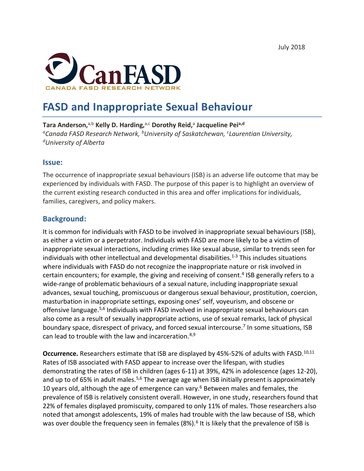

# **FASD and Inappropriate Sexual Behaviour**

**Tara Anderson,**a,b **Kelly D. Harding,**a,c **Dorothy Reid,**<sup>a</sup> **Jacqueline Peia,d** *aCanada FASD Research Network, bUniversity of Saskatchewan, c Laurentian University, dUniversity of Alberta*

#### **Issue:**

The occurrence of inappropriate sexual behaviours (ISB) is an adverse life outcome that may be experienced by individuals with FASD. The purpose of this paper is to highlight an overview of the current existing research conducted in this area and offer implications for individuals, families, caregivers, and policy makers.

## **Background:**

It is common for individuals with FASD to be involved in inappropriate sexual behaviours (ISB), as either a victim or a perpetrator. Individuals with FASD are more likely to be a victim of inappropriate sexual interactions, including crimes like sexual abuse, similar to trends seen for individuals with other intellectual and developmental disabilities.<sup>1-3</sup> This includes situations where individuals with FASD do not recognize the inappropriate nature or risk involved in certain encounters; for example, the giving and receiving of consent.<sup>4</sup> ISB generally refers to a wide-range of problematic behaviours of a sexual nature, including inappropriate sexual advances, sexual touching, promiscuous or dangerous sexual behaviour, prostitution, coercion, masturbation in inappropriate settings, exposing ones' self, voyeurism, and obscene or offensive language.5,6 Individuals with FASD involved in inappropriate sexual behaviours can also come as a result of sexually inappropriate actions, use of sexual remarks, lack of physical boundary space, disrespect of privacy, and forced sexual intercourse.<sup>7</sup> In some situations, ISB can lead to trouble with the law and incarceration.8,9

**Occurrence.** Researchers estimate that ISB are displayed by 45%-52% of adults with FASD.<sup>10,11</sup> Rates of ISB associated with FASD appear to increase over the lifespan, with studies demonstrating the rates of ISB in children (ages 6-11) at 39%, 42% in adolescence (ages 12-20), and up to of 65% in adult males.<sup>5,6</sup> The average age when ISB initially present is approximately 10 years old, although the age of emergence can vary.<sup>6</sup> Between males and females, the prevalence of ISB is relatively consistent overall. However, in one study, researchers found that 22% of females displayed promiscuity, compared to only 11% of males. Those researchers also noted that amongst adolescents, 19% of males had trouble with the law because of ISB, which was over double the frequency seen in females  $(8%)$ .<sup>6</sup> It is likely that the prevalence of ISB is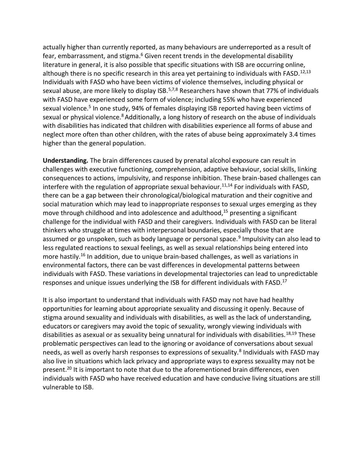actually higher than currently reported, as many behaviours are underreported as a result of fear, embarrassment, and stigma.<sup>6</sup> Given recent trends in the developmental disability literature in general, it is also possible that specific situations with ISB are occurring online, although there is no specific research in this area yet pertaining to individuals with FASD.<sup>12,13</sup> Individuals with FASD who have been victims of violence themselves, including physical or sexual abuse, are more likely to display ISB.<sup>5,7,8</sup> Researchers have shown that 77% of individuals with FASD have experienced some form of violence; including 55% who have experienced sexual violence.<sup>5</sup> In one study, 94% of females displaying ISB reported having been victims of sexual or physical violence.<sup>8</sup> Additionally, a long history of research on the abuse of individuals with disabilities has indicated that children with disabilities experience all forms of abuse and neglect more often than other children, with the rates of abuse being approximately 3.4 times higher than the general population.

**Understanding.** The brain differences caused by prenatal alcohol exposure can result in challenges with executive functioning, comprehension, adaptive behaviour, social skills, linking consequences to actions, impulsivity, and response inhibition. These brain-based challenges can interfere with the regulation of appropriate sexual behaviour.<sup>11,14</sup> For individuals with FASD, there can be a gap between their chronological/biological maturation and their cognitive and social maturation which may lead to inappropriate responses to sexual urges emerging as they move through childhood and into adolescence and adulthood, <sup>15</sup> presenting a significant challenge for the individual with FASD and their caregivers. Individuals with FASD can be literal thinkers who struggle at times with interpersonal boundaries, especially those that are assumed or go unspoken, such as body language or personal space.<sup>9</sup> Impulsivity can also lead to less regulated reactions to sexual feelings, as well as sexual relationships being entered into more hastily.<sup>16</sup> In addition, due to unique brain-based challenges, as well as variations in environmental factors, there can be vast differences in developmental patterns between individuals with FASD. These variations in developmental trajectories can lead to unpredictable responses and unique issues underlying the ISB for different individuals with FASD.<sup>17</sup>

It is also important to understand that individuals with FASD may not have had healthy opportunities for learning about appropriate sexuality and discussing it openly. Because of stigma around sexuality and individuals with disabilities, as well as the lack of understanding, educators or caregivers may avoid the topic of sexuality, wrongly viewing individuals with disabilities as asexual or as sexuality being unnatural for individuals with disabilities.18,19 These problematic perspectives can lead to the ignoring or avoidance of conversations about sexual needs, as well as overly harsh responses to expressions of sexuality.<sup>8</sup> Individuals with FASD may also live in situations which lack privacy and appropriate ways to express sexuality may not be present.<sup>20</sup> It is important to note that due to the aforementioned brain differences, even individuals with FASD who have received education and have conducive living situations are still vulnerable to ISB.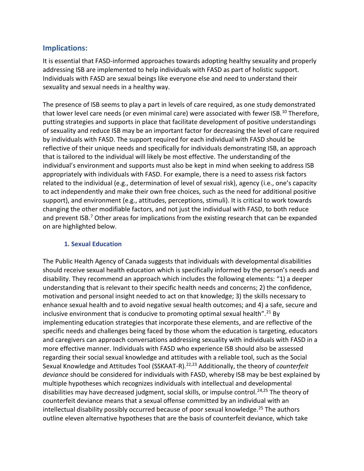## **Implications:**

It is essential that FASD-informed approaches towards adopting healthy sexuality and properly addressing ISB are implemented to help individuals with FASD as part of holistic support. Individuals with FASD are sexual beings like everyone else and need to understand their sexuality and sexual needs in a healthy way.

The presence of ISB seems to play a part in levels of care required, as one study demonstrated that lower level care needs (or even minimal care) were associated with fewer ISB.<sup>10</sup> Therefore, putting strategies and supports in place that facilitate development of positive understandings of sexuality and reduce ISB may be an important factor for decreasing the level of care required by individuals with FASD. The support required for each individual with FASD should be reflective of their unique needs and specifically for individuals demonstrating ISB, an approach that is tailored to the individual will likely be most effective. The understanding of the individual's environment and supports must also be kept in mind when seeking to address ISB appropriately with individuals with FASD. For example, there is a need to assess risk factors related to the individual (e.g., determination of level of sexual risk), agency (i.e., one's capacity to act independently and make their own free choices, such as the need for additional positive support), and environment (e.g., attitudes, perceptions, stimuli). It is critical to work towards changing the other modifiable factors, and not just the individual with FASD, to both reduce and prevent ISB.<sup>7</sup> Other areas for implications from the existing research that can be expanded on are highlighted below.

#### **1. Sexual Education**

The Public Health Agency of Canada suggests that individuals with developmental disabilities should receive sexual health education which is specifically informed by the person's needs and disability. They recommend an approach which includes the following elements: "1) a deeper understanding that is relevant to their specific health needs and concerns; 2) the confidence, motivation and personal insight needed to act on that knowledge; 3) the skills necessary to enhance sexual health and to avoid negative sexual health outcomes; and 4) a safe, secure and inclusive environment that is conducive to promoting optimal sexual health".<sup>21</sup> By implementing education strategies that incorporate these elements, and are reflective of the specific needs and challenges being faced by those whom the education is targeting, educators and caregivers can approach conversations addressing sexuality with individuals with FASD in a more effective manner. Individuals with FASD who experience ISB should also be assessed regarding their social sexual knowledge and attitudes with a reliable tool, such as the Social Sexual Knowledge and Attitudes Tool (SSKAAT-R).22,23 Additionally, the theory of *counterfeit deviance* should be considered for individuals with FASD, whereby ISB may be best explained by multiple hypotheses which recognizes individuals with intellectual and developmental disabilities may have decreased judgment, social skills, or impulse control.<sup>24,25</sup> The theory of counterfeit deviance means that a sexual offense committed by an individual with an intellectual disability possibly occurred because of poor sexual knowledge.<sup>25</sup> The authors outline eleven alternative hypotheses that are the basis of counterfeit deviance, which take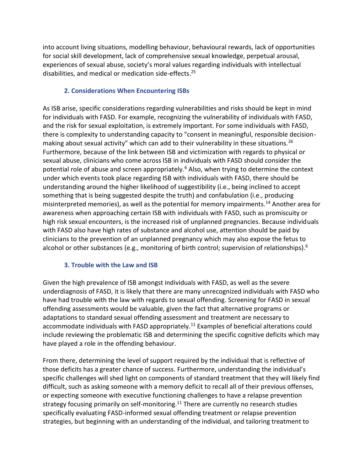into account living situations, modelling behaviour, behavioural rewards, lack of opportunities for social skill development, lack of comprehensive sexual knowledge, perpetual arousal, experiences of sexual abuse, society's moral values regarding individuals with intellectual disabilities, and medical or medication side-effects.25

#### **2. Considerations When Encountering ISBs**

As ISB arise, specific considerations regarding vulnerabilities and risks should be kept in mind for individuals with FASD. For example, recognizing the vulnerability of individuals with FASD, and the risk for sexual exploitation, is extremely important. For some individuals with FASD, there is complexity to understanding capacity to "consent in meaningful, responsible decisionmaking about sexual activity" which can add to their vulnerability in these situations.<sup>26</sup> Furthermore, because of the link between ISB and victimization with regards to physical or sexual abuse, clinicians who come across ISB in individuals with FASD should consider the potential role of abuse and screen appropriately.<sup>6</sup> Also, when trying to determine the context under which events took place regarding ISB with individuals with FASD, there should be understanding around the higher likelihood of suggestibility (i.e., being inclined to accept something that is being suggested despite the truth) and confabulation (i.e., producing misinterpreted memories), as well as the potential for memory impairments.<sup>14</sup> Another area for awareness when approaching certain ISB with individuals with FASD, such as promiscuity or high risk sexual encounters, is the increased risk of unplanned pregnancies. Because individuals with FASD also have high rates of substance and alcohol use, attention should be paid by clinicians to the prevention of an unplanned pregnancy which may also expose the fetus to alcohol or other substances (e.g., monitoring of birth control; supervision of relationships).<sup>6</sup>

#### **3. Trouble with the Law and ISB**

Given the high prevalence of ISB amongst individuals with FASD, as well as the severe underdiagnosis of FASD, it is likely that there are many unrecognized individuals with FASD who have had trouble with the law with regards to sexual offending. Screening for FASD in sexual offending assessments would be valuable, given the fact that alternative programs or adaptations to standard sexual offending assessment and treatment are necessary to accommodate individuals with FASD appropriately.<sup>11</sup> Examples of beneficial alterations could include reviewing the problematic ISB and determining the specific cognitive deficits which may have played a role in the offending behaviour.

From there, determining the level of support required by the individual that is reflective of those deficits has a greater chance of success. Furthermore, understanding the individual's specific challenges will shed light on components of standard treatment that they will likely find difficult, such as asking someone with a memory deficit to recall all of their previous offenses, or expecting someone with executive functioning challenges to have a relapse prevention strategy focusing primarily on self-monitoring.<sup>11</sup> There are currently no research studies specifically evaluating FASD-informed sexual offending treatment or relapse prevention strategies, but beginning with an understanding of the individual, and tailoring treatment to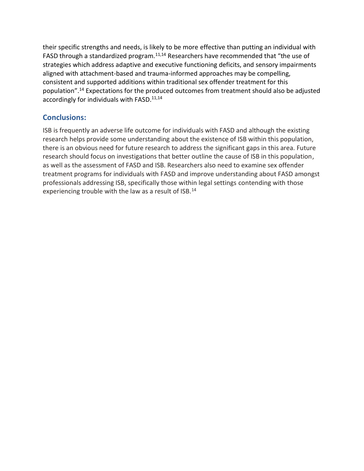their specific strengths and needs, is likely to be more effective than putting an individual with FASD through a standardized program.<sup>11,14</sup> Researchers have recommended that "the use of strategies which address adaptive and executive functioning deficits, and sensory impairments aligned with attachment-based and trauma-informed approaches may be compelling, consistent and supported additions within traditional sex offender treatment for this population".<sup>14</sup> Expectations for the produced outcomes from treatment should also be adjusted accordingly for individuals with FASD.<sup>11,14</sup>

# **Conclusions:**

ISB is frequently an adverse life outcome for individuals with FASD and although the existing research helps provide some understanding about the existence of ISB within this population, there is an obvious need for future research to address the significant gaps in this area. Future research should focus on investigations that better outline the cause of ISB in this population, as well as the assessment of FASD and ISB. Researchers also need to examine sex offender treatment programs for individuals with FASD and improve understanding about FASD amongst professionals addressing ISB, specifically those within legal settings contending with those experiencing trouble with the law as a result of ISB.<sup>14</sup>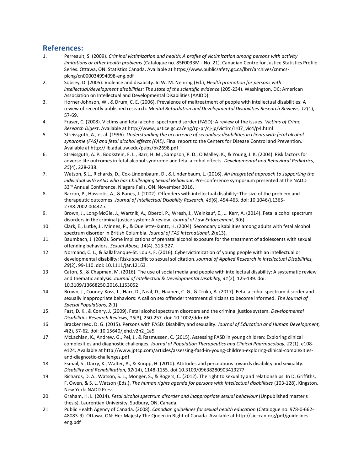#### **References:**

- 1. Perreault, S. (2009). *Criminal victimization and health: A profile of victimization among persons with activity limitations or other health problems* (Catalogue no. 85F0033M - No. 21). Canadian Centre for Justice Statistics Profile Series. Ottawa, ON: Statistics Canada. Available at https://www.publicsafety.gc.ca/lbrr/archives/cnmcsplcng/cn000034994098-eng.pdf
- 2. Sobsey, D. (2005). Violence and disability. In W. M. Nehring (Ed.), *Health promotion for persons with intellectual/development disabilities: The state of the scientific evidence* (205-234). Washington, DC: American Association on Intellectual and Developmental Disabilities (AAIDD).
- 3. Horner-Johnson, W., & Drum, C. E. (2006). Prevalence of maltreatment of people with intellectual disabilities: A review of recently published research. *Mental Retardation and Developmental Disabilities Research Reviews, 12*(1), 57-69.
- 4. Fraser, C. (2008). Victims and fetal alcohol spectrum disorder (FASD): A review of the issues. *Victims of Crime Research Digest*. Available at http://www.justice.gc.ca/eng/rp-pr/cj-jp/victim/rr07\_vic4/p4.html
- 5. Streissguth, A., et al. (1996). *Understanding the occurrence of secondary disabilities in clients with fetal alcohol syndrome (FAS) and fetal alcohol effects (FAE)*. Final report to the Centers for Disease Control and Prevention. Available at http://lib.adai.uw.edu/pubs/bk2698.pdf
- 6. Streissguth, A. P., Bookstein, F. L., Barr, H. M., Sampson, P. D., O'Malley, K., & Young, J. K. (2004). Risk factors for adverse life outcomes in fetal alcohol syndrome and fetal alcohol effects. *Developmental and Behavioral Pediatrics, 25*(4), 228-238.
- 7. Watson, S.L., Richards, D., Cox-Lindenbaum, D., & Lindenbaum, L. (2016). *An integrated approach to supporting the individual with FASD who has Challenging Sexual Behaviour*. Pre-conference symposium presented at the NADD 33<sup>rd</sup> Annual Conference. Niagara Falls, ON. November 2016.
- 8. Barron, P., Hassiotis, A., & Banes, J. (2002). Offenders with intellectual disability: The size of the problem and therapeutic outcomes. *Journal of Intellectual Disability Research, 46*(6), 454-463. doi: 10.1046/j.1365- 2788.2002.00432.x
- 9. Brown, J., Long-McGie, J., Wartnik, A., Oberoi, P., Wresh, J., Weinkauf, E., … Kerr, A. (2014). Fetal alcohol spectrum disorders in the criminal justice system: A review. *Journal of Law Enforcement, 3*(6).
- 10. Clark, E., Lutke, J., Minnes, P., & Ouellette-Kuntz, H. (2004). Secondary disabilities among adults with fetal alcohol spectrum disorder in British Columbia. *Journal of FAS International, 2*(e13).
- 11. Baumbach, J. (2002). Some implications of prenatal alcohol exposure for the treatment of adolescents with sexual offending behaviors. *Sexual Abuse, 14*(4), 313-327.
- 12. Normand, C. L., & Sallafranque-St. Louis, F. (2016). Cybervictimization of young people with an intellectual or developmental disability: Risks specific to sexual solicitation. *Journal of Applied Research in Intellectual Disabilities, 29*(2), 99-110. doi: 10.1111/jar.12163
- 13. Caton, S., & Chapman, M. (2016). The use of social media and people with intellectual disability: A systematic review and thematic analysis. *Journal of Intellectual & Developmental Disability, 41*(2), 125-139. doi: 10.3109/13668250.2016.1153052
- 14. Brown, J., Cooney-Koss, L., Harr, D., Neal, D., Haanen, C. G., & Trnka, A. (2017). Fetal alcohol spectrum disorder and sexually inappropriate behaviors: A call on sex offender treatment clinicians to become informed. *The Journal of Special Populations, 2*(1).
- 15. Fast, D. K., & Conry, J. (2009). Fetal alcohol spectrum disorders and the criminal justice system. *Developmental Disabilities Research Reviews, 15*(3), 250-257. doi: 10.1002/ddrr.66
- 16. Brackenreed, D. G. (2015). Persons with FASD: Disability and sexuality. *Journal of Education and Human Development, 4*(2), 57-62. doi: 10.15640/jehd.v2n2\_1a5
- 17. McLachlan, K., Andrew, G., Pei, J., & Rasmussen, C. (2015). Assessing FASD in young children: Exploring clinical complexities and diagnostic challenges. *Journal of Population Therapeutics and Clinical Pharmacology, 22*(1), e108 e124. Available at http://www.jptcp.com/articles/assessing-fasd-in-young-children-exploring-clinical-complexitiesand-diagnostic-challenges.pdf
- 18. Esmail, S., Darry, K., Walter, A., & Knupp, H. (2010). Attitudes and perceptions towards disability and sexuality. *Disability and Rehabilitation, 32*(14), 1148-1155. doi:10.3109/09638280903419277
- 19. Richards, D. A., Watson, S. L., Monger, S., & Rogers, C. (2012). The right to sexuality and relationships. In D. Griffiths, F. Owen, & S. L. Watson (Eds.), *The human rights agenda for persons with intellectual disabilities* (103-128). Kingston, New York: NADD Press.
- 20. Graham, H. L. (2014). *Fetal alcohol spectrum disorder and inappropriate sexual behaviour* (Unpublished master's thesis). Laurentian University, Sudbury, ON, Canada.
- 21. Public Health Agency of Canada. (2008). *Canadian guidelines for sexual health education* (Catalogue no. 978-0-662- 48083-9). Ottawa, ON: Her Majesty The Queen in Right of Canada. Available at http://sieccan.org/pdf/guidelineseng.pdf